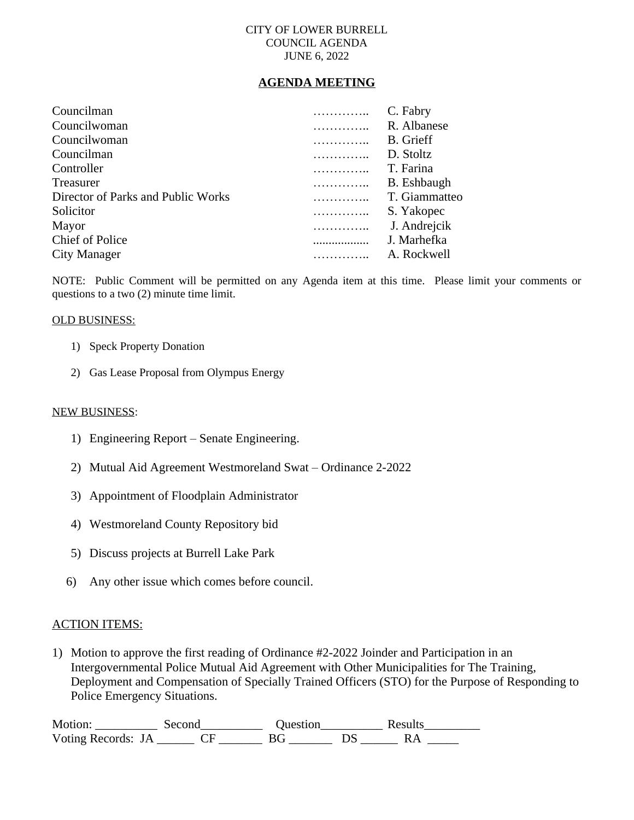## CITY OF LOWER BURRELL COUNCIL AGENDA JUNE 6, 2022

# **AGENDA MEETING**

| Councilman                         | .          | C. Fabry           |
|------------------------------------|------------|--------------------|
| Councilwoman                       | .          | R. Albanese        |
| Councilwoman                       | .          | <b>B.</b> Grieff   |
| Councilman                         | .          | D. Stoltz          |
| Controller                         | .          | T. Farina          |
| Treasurer                          | .          | <b>B.</b> Eshbaugh |
| Director of Parks and Public Works | . <b>.</b> | T. Giammatteo      |
| Solicitor                          | .          | S. Yakopec         |
| Mayor                              | .          | J. Andrejcik       |
| <b>Chief of Police</b>             |            | J. Marhefka        |
| City Manager                       |            | A. Rockwell        |
|                                    |            |                    |

NOTE: Public Comment will be permitted on any Agenda item at this time. Please limit your comments or questions to a two (2) minute time limit.

### OLD BUSINESS:

- 1) Speck Property Donation
- 2) Gas Lease Proposal from Olympus Energy

#### NEW BUSINESS:

- 1) Engineering Report Senate Engineering.
- 2) Mutual Aid Agreement Westmoreland Swat Ordinance 2-2022
- 3) Appointment of Floodplain Administrator
- 4) Westmoreland County Repository bid
- 5) Discuss projects at Burrell Lake Park
- 6) Any other issue which comes before council.

## ACTION ITEMS:

1) Motion to approve the first reading of Ordinance #2-2022 Joinder and Participation in an Intergovernmental Police Mutual Aid Agreement with Other Municipalities for The Training, Deployment and Compensation of Specially Trained Officers (STO) for the Purpose of Responding to Police Emergency Situations.

Motion: \_\_\_\_\_\_\_\_\_\_\_\_\_ Second\_\_\_\_\_\_\_\_\_\_\_\_\_\_ Question\_\_\_\_\_\_\_\_\_\_\_\_\_\_ Results\_\_\_\_\_\_\_\_\_\_\_\_ Voting Records: JA \_\_\_\_\_\_\_ CF \_\_\_\_\_\_\_ BG \_\_\_\_\_\_\_ DS \_\_\_\_\_\_ RA \_\_\_\_\_\_